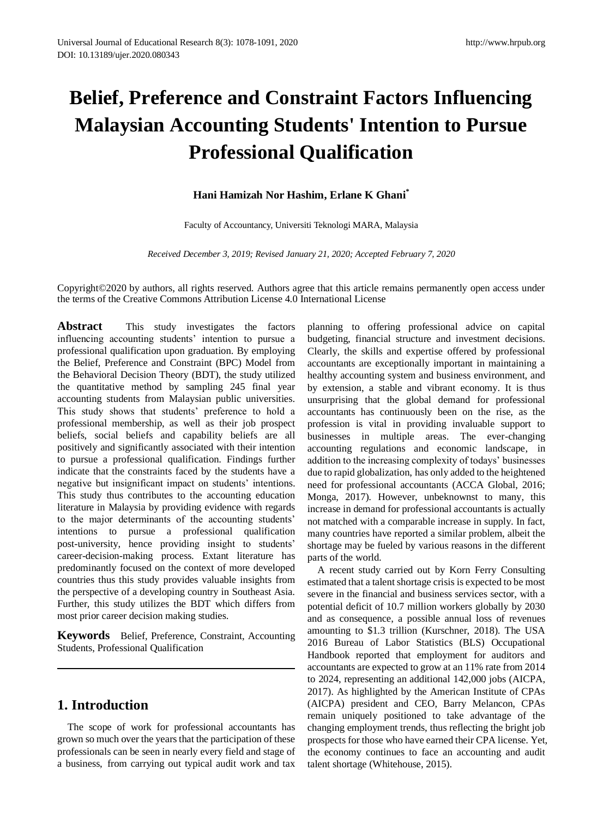# **Belief, Preference and Constraint Factors Influencing Malaysian Accounting Students' Intention to Pursue Professional Qualification**

# **Hani Hamizah Nor Hashim, Erlane K Ghani\***

Faculty of Accountancy, Universiti Teknologi MARA, Malaysia

*Received December 3, 2019; Revised January 21, 2020; Accepted February 7, 2020*

Copyright©2020 by authors, all rights reserved. Authors agree that this article remains permanently open access under the terms of the Creative Commons Attribution License 4.0 International License

**Abstract** This study investigates the factors influencing accounting students' intention to pursue a professional qualification upon graduation. By employing the Belief, Preference and Constraint (BPC) Model from the Behavioral Decision Theory (BDT), the study utilized the quantitative method by sampling 245 final year accounting students from Malaysian public universities. This study shows that students' preference to hold a professional membership, as well as their job prospect beliefs, social beliefs and capability beliefs are all positively and significantly associated with their intention to pursue a professional qualification. Findings further indicate that the constraints faced by the students have a negative but insignificant impact on students' intentions. This study thus contributes to the accounting education literature in Malaysia by providing evidence with regards to the major determinants of the accounting students' intentions to pursue a professional qualification post-university, hence providing insight to students' career-decision-making process. Extant literature has predominantly focused on the context of more developed countries thus this study provides valuable insights from the perspective of a developing country in Southeast Asia. Further, this study utilizes the BDT which differs from most prior career decision making studies.

**Keywords** Belief, Preference, Constraint, Accounting Students, Professional Qualification

# **1. Introduction**

The scope of work for professional accountants has grown so much over the years that the participation of these professionals can be seen in nearly every field and stage of a business, from carrying out typical audit work and tax

planning to offering professional advice on capital budgeting, financial structure and investment decisions. Clearly, the skills and expertise offered by professional accountants are exceptionally important in maintaining a healthy accounting system and business environment, and by extension, a stable and vibrant economy. It is thus unsurprising that the global demand for professional accountants has continuously been on the rise, as the profession is vital in providing invaluable support to businesses in multiple areas. The ever-changing accounting regulations and economic landscape, in addition to the increasing complexity of todays' businesses due to rapid globalization, has only added to the heightened need for professional accountants (ACCA Global, 2016; Monga, 2017). However, unbeknownst to many, this increase in demand for professional accountants is actually not matched with a comparable increase in supply. In fact, many countries have reported a similar problem, albeit the shortage may be fueled by various reasons in the different parts of the world.

A recent study carried out by Korn Ferry Consulting estimated that a talent shortage crisis is expected to be most severe in the financial and business services sector, with a potential deficit of 10.7 million workers globally by 2030 and as consequence, a possible annual loss of revenues amounting to \$1.3 trillion (Kurschner, 2018). The USA 2016 Bureau of Labor Statistics (BLS) Occupational Handbook reported that employment for auditors and accountants are expected to grow at an 11% rate from 2014 to 2024, representing an additional 142,000 jobs (AICPA, 2017). As highlighted by the American Institute of CPAs (AICPA) president and CEO, Barry Melancon, CPAs remain uniquely positioned to take advantage of the changing employment trends, thus reflecting the bright job prospects for those who have earned their CPA license. Yet, the economy continues to face an accounting and audit talent shortage (Whitehouse, 2015).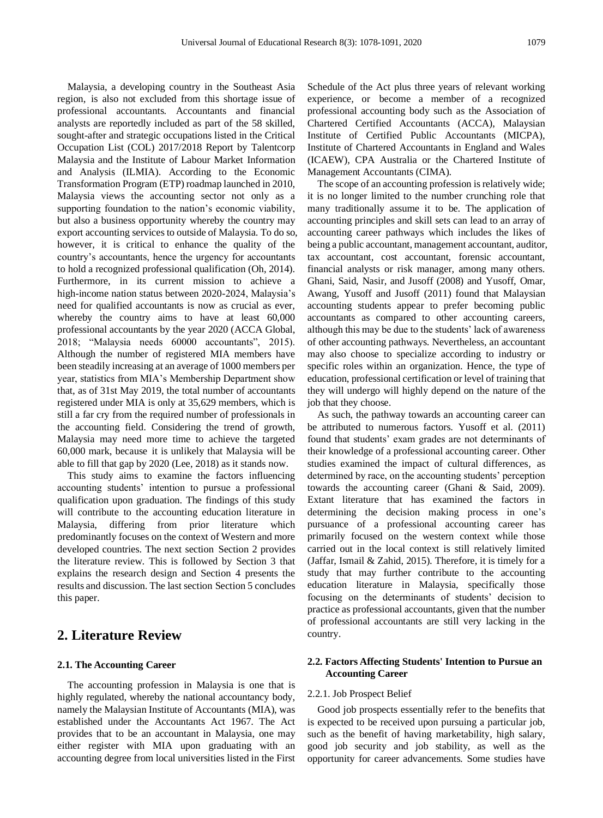Malaysia, a developing country in the Southeast Asia region, is also not excluded from this shortage issue of professional accountants. Accountants and financial analysts are reportedly included as part of the 58 skilled, sought-after and strategic occupations listed in the Critical Occupation List (COL) 2017/2018 Report by Talentcorp Malaysia and the Institute of Labour Market Information and Analysis (ILMIA). According to the Economic Transformation Program (ETP) roadmap launched in 2010, Malaysia views the accounting sector not only as a supporting foundation to the nation's economic viability, but also a business opportunity whereby the country may export accounting services to outside of Malaysia. To do so, however, it is critical to enhance the quality of the country's accountants, hence the urgency for accountants to hold a recognized professional qualification (Oh, 2014). Furthermore, in its current mission to achieve a high-income nation status between 2020-2024, Malaysia's need for qualified accountants is now as crucial as ever, whereby the country aims to have at least 60,000 professional accountants by the year 2020 (ACCA Global, 2018; "Malaysia needs 60000 accountants", 2015). Although the number of registered MIA members have been steadily increasing at an average of 1000 members per year, statistics from MIA's Membership Department show that, as of 31st May 2019, the total number of accountants registered under MIA is only at 35,629 members, which is still a far cry from the required number of professionals in the accounting field. Considering the trend of growth, Malaysia may need more time to achieve the targeted 60,000 mark, because it is unlikely that Malaysia will be able to fill that gap by 2020 (Lee, 2018) as it stands now.

This study aims to examine the factors influencing accounting students' intention to pursue a professional qualification upon graduation. The findings of this study will contribute to the accounting education literature in Malaysia, differing from prior literature which predominantly focuses on the context of Western and more developed countries. The next section Section 2 provides the literature review. This is followed by Section 3 that explains the research design and Section 4 presents the results and discussion. The last section Section 5 concludes this paper.

# **2. Literature Review**

### **2.1. The Accounting Career**

The accounting profession in Malaysia is one that is highly regulated, whereby the national accountancy body, namely the Malaysian Institute of Accountants (MIA), was established under the Accountants Act 1967. The Act provides that to be an accountant in Malaysia, one may either register with MIA upon graduating with an accounting degree from local universities listed in the First

Schedule of the Act plus three years of relevant working experience, or become a member of a recognized professional accounting body such as the Association of Chartered Certified Accountants (ACCA), Malaysian Institute of Certified Public Accountants (MICPA), Institute of Chartered Accountants in England and Wales (ICAEW), CPA Australia or the Chartered Institute of Management Accountants (CIMA).

The scope of an accounting profession is relatively wide; it is no longer limited to the number crunching role that many traditionally assume it to be. The application of accounting principles and skill sets can lead to an array of accounting career pathways which includes the likes of being a public accountant, management accountant, auditor, tax accountant, cost accountant, forensic accountant, financial analysts or risk manager, among many others. Ghani, Said, Nasir, and Jusoff (2008) and Yusoff, Omar, Awang, Yusoff and Jusoff (2011) found that Malaysian accounting students appear to prefer becoming public accountants as compared to other accounting careers, although this may be due to the students' lack of awareness of other accounting pathways. Nevertheless, an accountant may also choose to specialize according to industry or specific roles within an organization. Hence, the type of education, professional certification or level of training that they will undergo will highly depend on the nature of the job that they choose.

As such, the pathway towards an accounting career can be attributed to numerous factors. Yusoff et al. (2011) found that students' exam grades are not determinants of their knowledge of a professional accounting career. Other studies examined the impact of cultural differences, as determined by race, on the accounting students' perception towards the accounting career (Ghani & Said, 2009). Extant literature that has examined the factors in determining the decision making process in one's pursuance of a professional accounting career has primarily focused on the western context while those carried out in the local context is still relatively limited (Jaffar, Ismail & Zahid, 2015). Therefore, it is timely for a study that may further contribute to the accounting education literature in Malaysia, specifically those focusing on the determinants of students' decision to practice as professional accountants, given that the number of professional accountants are still very lacking in the country.

## **2.2. Factors Affecting Students' Intention to Pursue an Accounting Career**

#### 2.2.1. Job Prospect Belief

Good job prospects essentially refer to the benefits that is expected to be received upon pursuing a particular job, such as the benefit of having marketability, high salary, good job security and job stability, as well as the opportunity for career advancements. Some studies have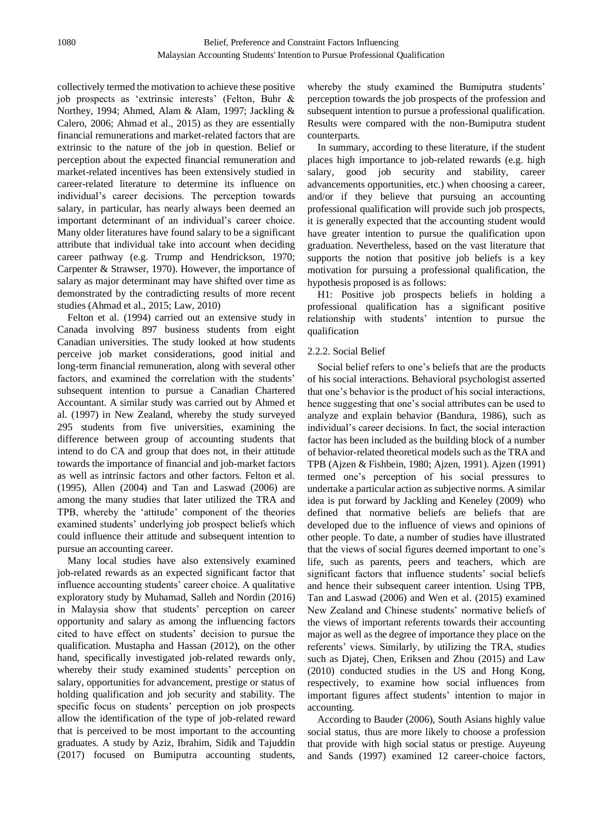collectively termed the motivation to achieve these positive job prospects as 'extrinsic interests' (Felton, Buhr & Northey, 1994; Ahmed, Alam & Alam, 1997; Jackling & Calero, 2006; Ahmad et al., 2015) as they are essentially financial remunerations and market-related factors that are extrinsic to the nature of the job in question. Belief or perception about the expected financial remuneration and market-related incentives has been extensively studied in career-related literature to determine its influence on individual's career decisions. The perception towards salary, in particular, has nearly always been deemed an important determinant of an individual's career choice. Many older literatures have found salary to be a significant attribute that individual take into account when deciding career pathway (e.g. Trump and Hendrickson, 1970; Carpenter & Strawser, 1970). However, the importance of salary as major determinant may have shifted over time as demonstrated by the contradicting results of more recent studies (Ahmad et al., 2015; Law, 2010)

Felton et al. (1994) carried out an extensive study in Canada involving 897 business students from eight Canadian universities. The study looked at how students perceive job market considerations, good initial and long-term financial remuneration, along with several other factors, and examined the correlation with the students' subsequent intention to pursue a Canadian Chartered Accountant. A similar study was carried out by Ahmed et al. (1997) in New Zealand, whereby the study surveyed 295 students from five universities, examining the difference between group of accounting students that intend to do CA and group that does not, in their attitude towards the importance of financial and job-market factors as well as intrinsic factors and other factors. Felton et al. (1995), Allen (2004) and Tan and Laswad (2006) are among the many studies that later utilized the TRA and TPB, whereby the 'attitude' component of the theories examined students' underlying job prospect beliefs which could influence their attitude and subsequent intention to pursue an accounting career.

Many local studies have also extensively examined job-related rewards as an expected significant factor that influence accounting students' career choice. A qualitative exploratory study by Muhamad, Salleh and Nordin (2016) in Malaysia show that students' perception on career opportunity and salary as among the influencing factors cited to have effect on students' decision to pursue the qualification. Mustapha and Hassan (2012), on the other hand, specifically investigated job-related rewards only, whereby their study examined students' perception on salary, opportunities for advancement, prestige or status of holding qualification and job security and stability. The specific focus on students' perception on job prospects allow the identification of the type of job-related reward that is perceived to be most important to the accounting graduates. A study by Aziz, Ibrahim, Sidik and Tajuddin (2017) focused on Bumiputra accounting students,

whereby the study examined the Bumiputra students' perception towards the job prospects of the profession and subsequent intention to pursue a professional qualification. Results were compared with the non-Bumiputra student counterparts.

In summary, according to these literature, if the student places high importance to job-related rewards (e.g. high salary, good job security and stability, career advancements opportunities, etc.) when choosing a career, and/or if they believe that pursuing an accounting professional qualification will provide such job prospects, it is generally expected that the accounting student would have greater intention to pursue the qualification upon graduation. Nevertheless, based on the vast literature that supports the notion that positive job beliefs is a key motivation for pursuing a professional qualification, the hypothesis proposed is as follows:

H1: Positive job prospects beliefs in holding a professional qualification has a significant positive relationship with students' intention to pursue the qualification

# 2.2.2. Social Belief

Social belief refers to one's beliefs that are the products of his social interactions. Behavioral psychologist asserted that one's behavior is the product of his social interactions, hence suggesting that one's social attributes can be used to analyze and explain behavior (Bandura, 1986), such as individual's career decisions. In fact, the social interaction factor has been included as the building block of a number of behavior-related theoretical models such as the TRA and TPB (Ajzen & Fishbein, 1980; Ajzen, 1991). Ajzen (1991) termed one's perception of his social pressures to undertake a particular action as subjective norms. A similar idea is put forward by Jackling and Keneley (2009) who defined that normative beliefs are beliefs that are developed due to the influence of views and opinions of other people. To date, a number of studies have illustrated that the views of social figures deemed important to one's life, such as parents, peers and teachers, which are significant factors that influence students' social beliefs and hence their subsequent career intention. Using TPB, Tan and Laswad (2006) and Wen et al. (2015) examined New Zealand and Chinese students' normative beliefs of the views of important referents towards their accounting major as well as the degree of importance they place on the referents' views. Similarly, by utilizing the TRA, studies such as Djatej, Chen, Eriksen and Zhou (2015) and Law (2010) conducted studies in the US and Hong Kong, respectively, to examine how social influences from important figures affect students' intention to major in accounting.

According to Bauder (2006), South Asians highly value social status, thus are more likely to choose a profession that provide with high social status or prestige. Auyeung and Sands (1997) examined 12 career-choice factors,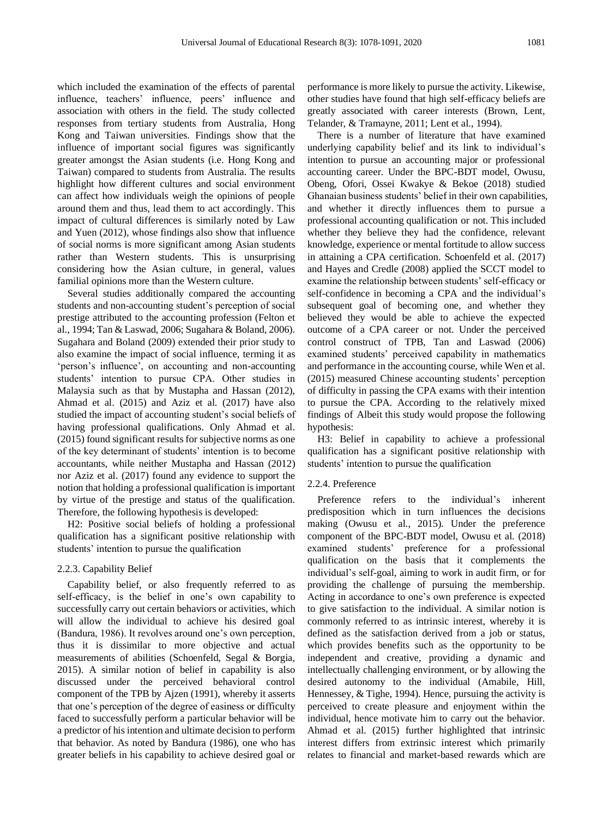which included the examination of the effects of parental influence, teachers' influence, peers' influence and association with others in the field. The study collected responses from tertiary students from Australia, Hong Kong and Taiwan universities. Findings show that the influence of important social figures was significantly greater amongst the Asian students (i.e. Hong Kong and Taiwan) compared to students from Australia. The results highlight how different cultures and social environment can affect how individuals weigh the opinions of people around them and thus, lead them to act accordingly. This impact of cultural differences is similarly noted by Law and Yuen (2012), whose findings also show that influence of social norms is more significant among Asian students rather than Western students. This is unsurprising considering how the Asian culture, in general, values familial opinions more than the Western culture.

Several studies additionally compared the accounting students and non-accounting student's perception of social prestige attributed to the accounting profession (Felton et al., 1994; Tan & Laswad, 2006; Sugahara & Boland, 2006). Sugahara and Boland (2009) extended their prior study to also examine the impact of social influence, terming it as 'person's influence', on accounting and non-accounting students' intention to pursue CPA. Other studies in Malaysia such as that by Mustapha and Hassan (2012), Ahmad et al. (2015) and Aziz et al. (2017) have also studied the impact of accounting student's social beliefs of having professional qualifications. Only Ahmad et al. (2015) found significant results for subjective norms as one of the key determinant of students' intention is to become accountants, while neither Mustapha and Hassan (2012) nor Aziz et al. (2017) found any evidence to support the notion that holding a professional qualification is important by virtue of the prestige and status of the qualification. Therefore, the following hypothesis is developed:

H2: Positive social beliefs of holding a professional qualification has a significant positive relationship with students' intention to pursue the qualification

#### 2.2.3. Capability Belief

Capability belief, or also frequently referred to as self-efficacy, is the belief in one's own capability to successfully carry out certain behaviors or activities, which will allow the individual to achieve his desired goal (Bandura, 1986). It revolves around one's own perception, thus it is dissimilar to more objective and actual measurements of abilities (Schoenfeld, Segal & Borgia, 2015). A similar notion of belief in capability is also discussed under the perceived behavioral control component of the TPB by Ajzen (1991), whereby it asserts that one's perception of the degree of easiness or difficulty faced to successfully perform a particular behavior will be a predictor of his intention and ultimate decision to perform that behavior. As noted by Bandura (1986), one who has greater beliefs in his capability to achieve desired goal or

performance is more likely to pursue the activity. Likewise, other studies have found that high self-efficacy beliefs are greatly associated with career interests (Brown, Lent, Telander, & Tramayne, 2011; Lent et al., 1994).

There is a number of literature that have examined underlying capability belief and its link to individual's intention to pursue an accounting major or professional accounting career. Under the BPC-BDT model, Owusu, Obeng, Ofori, Ossei Kwakye & Bekoe (2018) studied Ghanaian business students' belief in their own capabilities, and whether it directly influences them to pursue a professional accounting qualification or not. This included whether they believe they had the confidence, relevant knowledge, experience or mental fortitude to allow success in attaining a CPA certification. Schoenfeld et al. (2017) and Hayes and Credle (2008) applied the SCCT model to examine the relationship between students' self-efficacy or self-confidence in becoming a CPA and the individual's subsequent goal of becoming one, and whether they believed they would be able to achieve the expected outcome of a CPA career or not. Under the perceived control construct of TPB, Tan and Laswad (2006) examined students' perceived capability in mathematics and performance in the accounting course, while Wen et al. (2015) measured Chinese accounting students' perception of difficulty in passing the CPA exams with their intention to pursue the CPA. According to the relatively mixed findings of Albeit this study would propose the following hypothesis:

H3: Belief in capability to achieve a professional qualification has a significant positive relationship with students' intention to pursue the qualification

#### 2.2.4. Preference

Preference refers to the individual's inherent predisposition which in turn influences the decisions making (Owusu et al., 2015). Under the preference component of the BPC-BDT model, Owusu et al. (2018) examined students' preference for a professional qualification on the basis that it complements the individual's self-goal, aiming to work in audit firm, or for providing the challenge of pursuing the membership. Acting in accordance to one's own preference is expected to give satisfaction to the individual. A similar notion is commonly referred to as intrinsic interest, whereby it is defined as the satisfaction derived from a job or status, which provides benefits such as the opportunity to be independent and creative, providing a dynamic and intellectually challenging environment, or by allowing the desired autonomy to the individual (Amabile, Hill, Hennessey, & Tighe, 1994). Hence, pursuing the activity is perceived to create pleasure and enjoyment within the individual, hence motivate him to carry out the behavior. Ahmad et al. (2015) further highlighted that intrinsic interest differs from extrinsic interest which primarily relates to financial and market-based rewards which are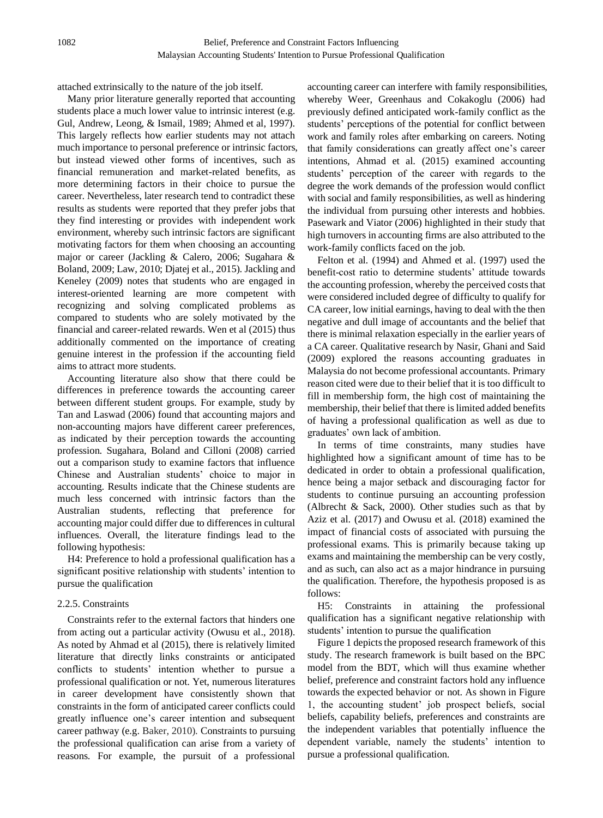attached extrinsically to the nature of the job itself.

Many prior literature generally reported that accounting students place a much lower value to intrinsic interest (e.g. Gul, Andrew, Leong, & Ismail, 1989; Ahmed et al, 1997). This largely reflects how earlier students may not attach much importance to personal preference or intrinsic factors, but instead viewed other forms of incentives, such as financial remuneration and market-related benefits, as more determining factors in their choice to pursue the career. Nevertheless, later research tend to contradict these results as students were reported that they prefer jobs that they find interesting or provides with independent work environment, whereby such intrinsic factors are significant motivating factors for them when choosing an accounting major or career (Jackling & Calero, 2006; Sugahara & Boland, 2009; Law, 2010; Djatej et al., 2015). Jackling and Keneley (2009) notes that students who are engaged in interest-oriented learning are more competent with recognizing and solving complicated problems as compared to students who are solely motivated by the financial and career-related rewards. Wen et al (2015) thus additionally commented on the importance of creating genuine interest in the profession if the accounting field aims to attract more students.

Accounting literature also show that there could be differences in preference towards the accounting career between different student groups. For example, study by Tan and Laswad (2006) found that accounting majors and non-accounting majors have different career preferences, as indicated by their perception towards the accounting profession. Sugahara, Boland and Cilloni (2008) carried out a comparison study to examine factors that influence Chinese and Australian students' choice to major in accounting. Results indicate that the Chinese students are much less concerned with intrinsic factors than the Australian students, reflecting that preference for accounting major could differ due to differences in cultural influences. Overall, the literature findings lead to the following hypothesis:

H4: Preference to hold a professional qualification has a significant positive relationship with students' intention to pursue the qualification

## 2.2.5. Constraints

Constraints refer to the external factors that hinders one from acting out a particular activity (Owusu et al., 2018). As noted by Ahmad et al (2015), there is relatively limited literature that directly links constraints or anticipated conflicts to students' intention whether to pursue a professional qualification or not. Yet, numerous literatures in career development have consistently shown that constraints in the form of anticipated career conflicts could greatly influence one's career intention and subsequent career pathway (e.g. Baker, 2010). Constraints to pursuing the professional qualification can arise from a variety of reasons. For example, the pursuit of a professional

accounting career can interfere with family responsibilities, whereby Weer, Greenhaus and Cokakoglu (2006) had previously defined anticipated work-family conflict as the students' perceptions of the potential for conflict between work and family roles after embarking on careers. Noting that family considerations can greatly affect one's career intentions, Ahmad et al. (2015) examined accounting students' perception of the career with regards to the degree the work demands of the profession would conflict with social and family responsibilities, as well as hindering the individual from pursuing other interests and hobbies. Pasewark and Viator (2006) highlighted in their study that high turnovers in accounting firms are also attributed to the work-family conflicts faced on the job.

Felton et al. (1994) and Ahmed et al. (1997) used the benefit-cost ratio to determine students' attitude towards the accounting profession, whereby the perceived costs that were considered included degree of difficulty to qualify for CA career, low initial earnings, having to deal with the then negative and dull image of accountants and the belief that there is minimal relaxation especially in the earlier years of a CA career. Qualitative research by Nasir, Ghani and Said (2009) explored the reasons accounting graduates in Malaysia do not become professional accountants. Primary reason cited were due to their belief that it is too difficult to fill in membership form, the high cost of maintaining the membership, their belief that there is limited added benefits of having a professional qualification as well as due to graduates' own lack of ambition.

In terms of time constraints, many studies have highlighted how a significant amount of time has to be dedicated in order to obtain a professional qualification, hence being a major setback and discouraging factor for students to continue pursuing an accounting profession (Albrecht & Sack, 2000). Other studies such as that by Aziz et al. (2017) and Owusu et al. (2018) examined the impact of financial costs of associated with pursuing the professional exams. This is primarily because taking up exams and maintaining the membership can be very costly, and as such, can also act as a major hindrance in pursuing the qualification. Therefore, the hypothesis proposed is as follows:

H5: Constraints in attaining the professional qualification has a significant negative relationship with students' intention to pursue the qualification

Figure 1 depicts the proposed research framework of this study. The research framework is built based on the BPC model from the BDT, which will thus examine whether belief, preference and constraint factors hold any influence towards the expected behavior or not. As shown in Figure 1, the accounting student' job prospect beliefs, social beliefs, capability beliefs, preferences and constraints are the independent variables that potentially influence the dependent variable, namely the students' intention to pursue a professional qualification.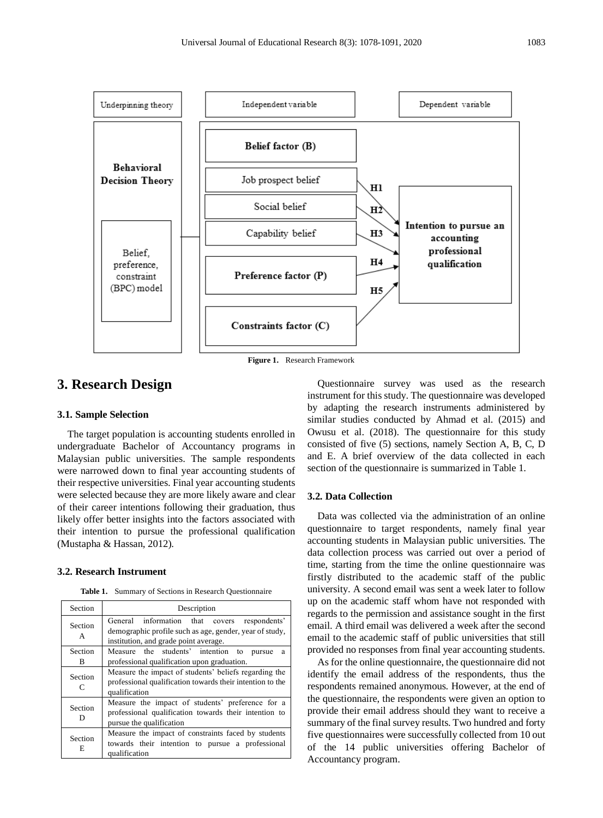

**Figure 1.** Research Framework

# **3. Research Design**

# **3.1. Sample Selection**

The target population is accounting students enrolled in undergraduate Bachelor of Accountancy programs in Malaysian public universities. The sample respondents were narrowed down to final year accounting students of their respective universities. Final year accounting students were selected because they are more likely aware and clear of their career intentions following their graduation, thus likely offer better insights into the factors associated with their intention to pursue the professional qualification (Mustapha & Hassan, 2012).

#### **3.2. Research Instrument**

**Table 1.** Summary of Sections in Research Questionnaire

| Section      | Description                                                                                                                                         |
|--------------|-----------------------------------------------------------------------------------------------------------------------------------------------------|
| Section<br>A | General information that covers<br>respondents'<br>demographic profile such as age, gender, year of study,<br>institution, and grade point average. |
| Section<br>B | Measure the students' intention to<br>pursue<br>a<br>professional qualification upon graduation.                                                    |
| Section<br>C | Measure the impact of students' beliefs regarding the<br>professional qualification towards their intention to the<br>qualification                 |
| Section<br>D | Measure the impact of students' preference for a<br>professional qualification towards their intention to<br>pursue the qualification               |
| Section<br>E | Measure the impact of constraints faced by students<br>towards their intention to pursue a professional<br>qualification                            |

Questionnaire survey was used as the research instrument for this study. The questionnaire was developed by adapting the research instruments administered by similar studies conducted by Ahmad et al. (2015) and Owusu et al. (2018). The questionnaire for this study consisted of five (5) sections, namely Section A, B, C, D and E. A brief overview of the data collected in each section of the questionnaire is summarized in Table 1.

#### **3.2. Data Collection**

Data was collected via the administration of an online questionnaire to target respondents, namely final year accounting students in Malaysian public universities. The data collection process was carried out over a period of time, starting from the time the online questionnaire was firstly distributed to the academic staff of the public university. A second email was sent a week later to follow up on the academic staff whom have not responded with regards to the permission and assistance sought in the first email. A third email was delivered a week after the second email to the academic staff of public universities that still provided no responses from final year accounting students.

As for the online questionnaire, the questionnaire did not identify the email address of the respondents, thus the respondents remained anonymous. However, at the end of the questionnaire, the respondents were given an option to provide their email address should they want to receive a summary of the final survey results. Two hundred and forty five questionnaires were successfully collected from 10 out of the 14 public universities offering Bachelor of Accountancy program.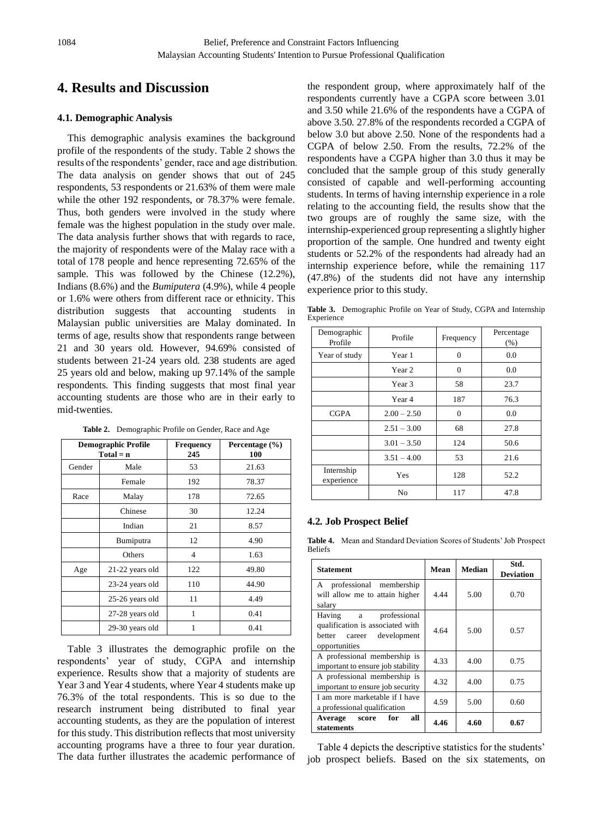# **4. Results and Discussion**

### **4.1. Demographic Analysis**

This demographic analysis examines the background profile of the respondents of the study. Table 2 shows the results of the respondents' gender, race and age distribution. The data analysis on gender shows that out of 245 respondents, 53 respondents or 21.63% of them were male while the other 192 respondents, or 78.37% were female. Thus, both genders were involved in the study where female was the highest population in the study over male. The data analysis further shows that with regards to race, the majority of respondents were of the Malay race with a total of 178 people and hence representing 72.65% of the sample. This was followed by the Chinese (12.2%), Indians (8.6%) and the *Bumiputera* (4.9%), while 4 people or 1.6% were others from different race or ethnicity. This distribution suggests that accounting students in Malaysian public universities are Malay dominated. In terms of age, results show that respondents range between 21 and 30 years old. However, 94.69% consisted of students between 21-24 years old. 238 students are aged 25 years old and below, making up 97.14% of the sample respondents. This finding suggests that most final year accounting students are those who are in their early to mid-twenties.

| Table 2. Demographic Profile on Gender, Race and Age |  |
|------------------------------------------------------|--|
|------------------------------------------------------|--|

|        | <b>Demographic Profile</b><br>$Total = n$ | <b>Frequency</b><br>245  | Percentage $(\% )$<br>100 |
|--------|-------------------------------------------|--------------------------|---------------------------|
| Gender | Male                                      | 53                       | 21.63                     |
|        | Female                                    | 192                      | 78.37                     |
| Race   | Malay                                     | 178                      | 72.65                     |
|        | Chinese                                   | 30                       | 12.24                     |
|        | Indian                                    | 21                       | 8.57                      |
|        | Bumiputra                                 | 12                       | 4.90                      |
|        | Others                                    | $\overline{\mathcal{L}}$ | 1.63                      |
| Age    | 21-22 years old                           | 122                      | 49.80                     |
|        | 23-24 years old                           | 110                      | 44.90                     |
|        | 25-26 years old                           | 11                       | 4.49                      |
|        | 27-28 years old                           | 1                        | 0.41                      |
|        | 29-30 years old                           | 1                        | 0.41                      |

Table 3 illustrates the demographic profile on the respondents' year of study, CGPA and internship experience. Results show that a majority of students are Year 3 and Year 4 students, where Year 4 students make up 76.3% of the total respondents. This is so due to the research instrument being distributed to final year accounting students, as they are the population of interest for this study. This distribution reflects that most university accounting programs have a three to four year duration. The data further illustrates the academic performance of the respondent group, where approximately half of the respondents currently have a CGPA score between 3.01 and 3.50 while 21.6% of the respondents have a CGPA of above 3.50. 27.8% of the respondents recorded a CGPA of below 3.0 but above 2.50. None of the respondents had a CGPA of below 2.50. From the results, 72.2% of the respondents have a CGPA higher than 3.0 thus it may be concluded that the sample group of this study generally consisted of capable and well-performing accounting students. In terms of having internship experience in a role relating to the accounting field, the results show that the two groups are of roughly the same size, with the internship-experienced group representing a slightly higher proportion of the sample. One hundred and twenty eight students or 52.2% of the respondents had already had an internship experience before, while the remaining 117 (47.8%) of the students did not have any internship experience prior to this study.

**Table 3.** Demographic Profile on Year of Study, CGPA and Internship Experience

| Demographic<br>Profile   | Profile       | Frequency | Percentage<br>(% ) |
|--------------------------|---------------|-----------|--------------------|
| Year of study            | Year 1        | $\theta$  | 0.0                |
|                          | Year 2        | $\theta$  | 0.0                |
|                          | Year 3        | 58        | 23.7               |
|                          | Year 4        | 187       | 76.3               |
| <b>CGPA</b>              | $2.00 - 2.50$ | $\Omega$  | 0.0                |
|                          | $2.51 - 3.00$ | 68        | 27.8               |
|                          | $3.01 - 3.50$ | 124       | 50.6               |
|                          | $3.51 - 4.00$ | 53        | 21.6               |
| Internship<br>experience | Yes           | 128       | 52.2               |
|                          | No            | 117       | 47.8               |

#### **4.2. Job Prospect Belief**

**Table 4.** Mean and Standard Deviation Scores of Students' Job Prospect Beliefs

| <b>Statement</b>                                                                                           | Mean  | <b>Median</b> | Std.<br>Deviation |
|------------------------------------------------------------------------------------------------------------|-------|---------------|-------------------|
| professional membership<br>A<br>will allow me to attain higher<br>salary                                   | 4 4 4 | 5.00          | 0.70              |
| professional<br>Having a<br>qualification is associated with<br>better career development<br>opportunities | 4.64  | 5.00          | 0.57              |
| A professional membership is<br>important to ensure job stability                                          | 4.33  | 4.00          | 0.75              |
| A professional membership is<br>important to ensure job security                                           | 4.32  | 4.00          | 0.75              |
| I am more marketable if I have<br>a professional qualification                                             | 4.59  | 5.00          | 0.60              |
| all<br>Average score for<br>statements                                                                     | 4.46  | 4.60          | 0.67              |

Table 4 depicts the descriptive statistics for the students' job prospect beliefs. Based on the six statements, on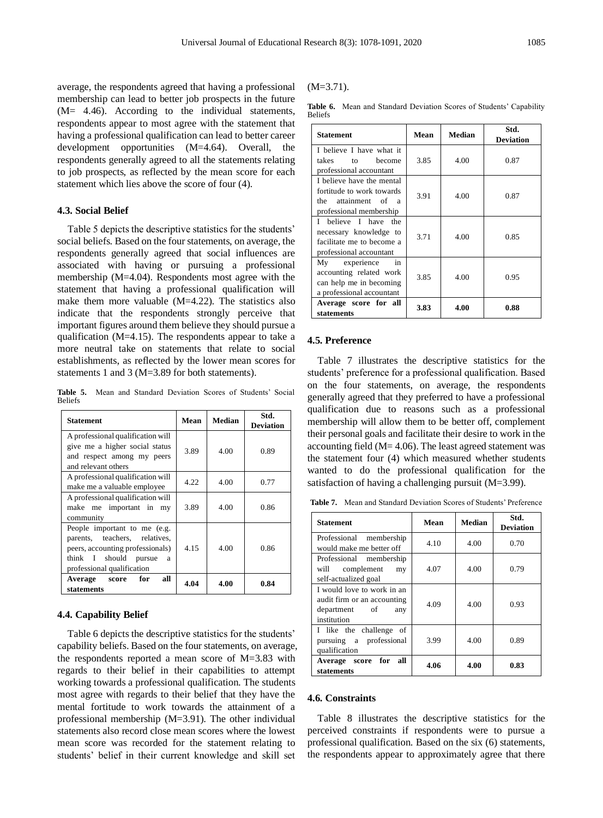average, the respondents agreed that having a professional membership can lead to better job prospects in the future  $(M= 4.46)$ . According to the individual statements, respondents appear to most agree with the statement that having a professional qualification can lead to better career development opportunities (M=4.64). Overall, the respondents generally agreed to all the statements relating to job prospects, as reflected by the mean score for each statement which lies above the score of four (4).

# **4.3. Social Belief**

Table 5 depicts the descriptive statistics for the students' social beliefs. Based on the four statements, on average, the respondents generally agreed that social influences are associated with having or pursuing a professional membership (M=4.04). Respondents most agree with the statement that having a professional qualification will make them more valuable (M=4.22). The statistics also indicate that the respondents strongly perceive that important figures around them believe they should pursue a qualification (M=4.15). The respondents appear to take a more neutral take on statements that relate to social establishments, as reflected by the lower mean scores for statements 1 and 3 (M=3.89 for both statements).

**Table 5.** Mean and Standard Deviation Scores of Students' Social Beliefs

| <b>Statement</b>                                                                                                                                                 | Mean | Median | Std.<br><b>Deviation</b> |
|------------------------------------------------------------------------------------------------------------------------------------------------------------------|------|--------|--------------------------|
| A professional qualification will<br>give me a higher social status<br>and respect among my peers<br>and relevant others                                         | 3.89 | 4.00   | 0.89                     |
| A professional qualification will<br>make me a valuable employee                                                                                                 | 4.22 | 4.00   | 0.77                     |
| A professional qualification will<br>make me important in my<br>community                                                                                        | 3.89 | 4.00   | 0.86                     |
| People important to me (e.g.<br>parents, teachers, relatives,<br>peers, accounting professionals)<br>think I should<br>pursue<br>a<br>professional qualification | 4.15 | 4.00   | 0.86                     |
| all<br>for<br>Average score<br>statements                                                                                                                        | 4.04 | 4.00   | 0.84                     |

#### **4.4. Capability Belief**

Table 6 depicts the descriptive statistics for the students' capability beliefs. Based on the four statements, on average, the respondents reported a mean score of M=3.83 with regards to their belief in their capabilities to attempt working towards a professional qualification. The students most agree with regards to their belief that they have the mental fortitude to work towards the attainment of a professional membership (M=3.91). The other individual statements also record close mean scores where the lowest mean score was recorded for the statement relating to students' belief in their current knowledge and skill set

 $(M=3.71)$ .

**Table 6.** Mean and Standard Deviation Scores of Students' Capability Beliefs

| <b>Statement</b>                                                                                         | Mean | Median | Std.<br><b>Deviation</b> |
|----------------------------------------------------------------------------------------------------------|------|--------|--------------------------|
| I believe I have what it<br>takes<br>hecome<br>$\mathsf{to}$<br>professional accountant                  | 3.85 | 4.00   | 0.87                     |
| I believe have the mental<br>fortitude to work towards<br>the attainment of a<br>professional membership | 3.91 | 4.00   | 0.87                     |
| I believe I have the<br>necessary knowledge to<br>facilitate me to become a<br>professional accountant   | 3.71 | 4.00   | 0.85                     |
| My experience<br>in<br>accounting related work<br>can help me in becoming<br>a professional accountant   | 3.85 | 4.00   | 0.95                     |
| Average score for all<br>statements                                                                      | 3.83 | 4.00   | 0.88                     |

#### **4.5. Preference**

Table 7 illustrates the descriptive statistics for the students' preference for a professional qualification. Based on the four statements, on average, the respondents generally agreed that they preferred to have a professional qualification due to reasons such as a professional membership will allow them to be better off, complement their personal goals and facilitate their desire to work in the accounting field  $(M= 4.06)$ . The least agreed statement was the statement four (4) which measured whether students wanted to do the professional qualification for the satisfaction of having a challenging pursuit (M=3.99).

**Table 7.** Mean and Standard Deviation Scores of Students' Preference

| <b>Statement</b>                                                                                 | Mean | <b>Median</b> | Std.<br><b>Deviation</b> |
|--------------------------------------------------------------------------------------------------|------|---------------|--------------------------|
| membership<br>Professional<br>would make me better off                                           | 4.10 | 4.00          | 0.70                     |
| Professional membership<br>will<br>complement<br>my<br>self-actualized goal                      | 4.07 | 4.00          | 0.79                     |
| I would love to work in an<br>audit firm or an accounting<br>department of<br>any<br>institution | 4.09 | 4.00          | 0.93                     |
| I like the challenge of<br>pursuing a professional<br>qualification                              | 3.99 | 4.00          | 0.89                     |
| Average score for<br>all<br>statements                                                           | 4.06 | 4.00          | 0.83                     |

#### **4.6. Constraints**

Table 8 illustrates the descriptive statistics for the perceived constraints if respondents were to pursue a professional qualification. Based on the six (6) statements, the respondents appear to approximately agree that there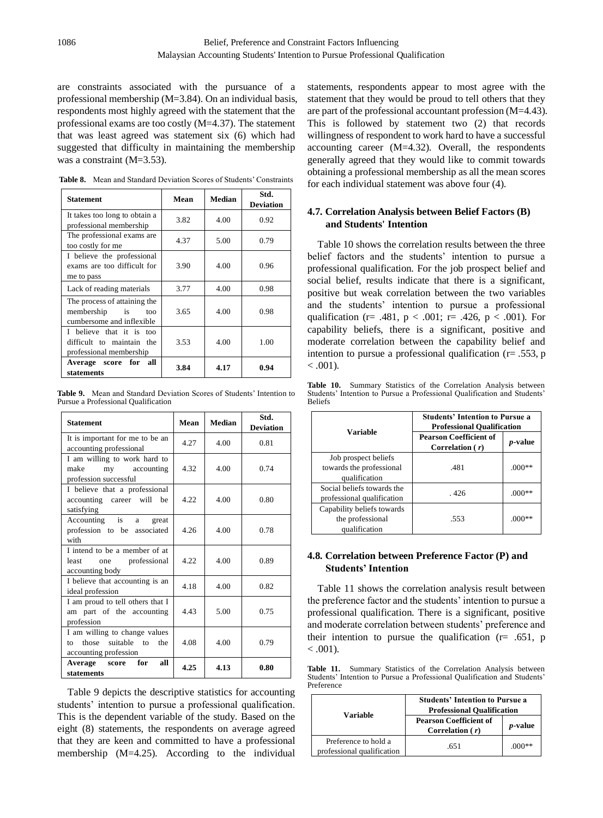are constraints associated with the pursuance of a professional membership (M=3.84). On an individual basis, respondents most highly agreed with the statement that the professional exams are too costly (M=4.37). The statement that was least agreed was statement six (6) which had suggested that difficulty in maintaining the membership was a constraint (M=3.53).

**Table 8.** Mean and Standard Deviation Scores of Students' Constraints

| <b>Statement</b>                                                                                | Mean | <b>Median</b> | Std.<br><b>Deviation</b> |
|-------------------------------------------------------------------------------------------------|------|---------------|--------------------------|
| It takes too long to obtain a<br>professional membership                                        | 3.82 | 4.00          | 0.92                     |
| The professional exams are<br>too costly for me                                                 | 4.37 | 5.00          | 0.79                     |
| I believe the professional<br>exams are too difficult for<br>me to pass                         | 3.90 | 4.00          | 0.96                     |
| Lack of reading materials                                                                       | 3.77 | 4.00          | 0.98                     |
| The process of attaining the<br>membership<br>$\frac{1}{1}$<br>too<br>cumbersome and inflexible | 3.65 | 4.00          | 0.98                     |
| I believe that it is too<br>difficult to maintain the<br>professional membership                | 3.53 | 4.00          | 1.00                     |
| Average score for all<br>statements                                                             | 3.84 | 4.17          | 0.94                     |

**Table 9.** Mean and Standard Deviation Scores of Students' Intention to Pursue a Professional Qualification

| <b>Statement</b>                                                                      | Mean | Median | Std.<br><b>Deviation</b> |
|---------------------------------------------------------------------------------------|------|--------|--------------------------|
| It is important for me to be an<br>accounting professional                            | 4.27 | 4.00   | 0.81                     |
| I am willing to work hard to<br>make<br>my accounting<br>profession successful        | 4.32 | 4.00   | 0.74                     |
| I believe that a professional<br>accounting career will be<br>satisfying              | 4.22 | 4.00   | 0.80                     |
| Accounting is a<br>great<br>profession to be associated<br>with                       | 4.26 | 4.00   | 0.78                     |
| I intend to be a member of at<br>one professional<br>least<br>accounting body         | 4.22 | 4.00   | 0.89                     |
| I believe that accounting is an<br>ideal profession                                   | 4.18 | 4.00   | 0.82                     |
| I am proud to tell others that I<br>am part of the accounting<br>profession           | 4.43 | 5.00   | 0.75                     |
| I am willing to change values<br>those suitable to the<br>to<br>accounting profession | 4.08 | 4.00   | 0.79                     |
| <b>Average score</b><br>for<br>all<br>statements                                      | 4.25 | 4.13   | 0.80                     |

Table 9 depicts the descriptive statistics for accounting students' intention to pursue a professional qualification. This is the dependent variable of the study. Based on the eight (8) statements, the respondents on average agreed that they are keen and committed to have a professional membership (M=4.25). According to the individual

statements, respondents appear to most agree with the statement that they would be proud to tell others that they are part of the professional accountant profession (M=4.43). This is followed by statement two (2) that records willingness of respondent to work hard to have a successful accounting career (M=4.32). Overall, the respondents generally agreed that they would like to commit towards obtaining a professional membership as all the mean scores for each individual statement was above four (4).

## **4.7. Correlation Analysis between Belief Factors (B) and Students' Intention**

Table 10 shows the correlation results between the three belief factors and the students' intention to pursue a professional qualification. For the job prospect belief and social belief, results indicate that there is a significant, positive but weak correlation between the two variables and the students' intention to pursue a professional qualification (r= .481,  $p < .001$ ; r= .426,  $p < .001$ ). For capability beliefs, there is a significant, positive and moderate correlation between the capability belief and intention to pursue a professional qualification ( $r = .553$ , p  $< .001$ ).

**Table 10.** Summary Statistics of the Correlation Analysis between Students' Intention to Pursue a Professional Qualification and Students' Beliefs

| Variable                                                          | <b>Students' Intention to Pursue a</b><br><b>Professional Qualification</b> |                 |
|-------------------------------------------------------------------|-----------------------------------------------------------------------------|-----------------|
|                                                                   | <b>Pearson Coefficient of</b><br>Correlation $(r)$                          | <i>p</i> -value |
| Job prospect beliefs<br>towards the professional<br>qualification | .481                                                                        | $(000)*$        |
| Social beliefs towards the<br>professional qualification          | - 426                                                                       | $(000)*$        |
| Capability beliefs towards<br>the professional<br>qualification   | .553                                                                        | $(000**$        |

## **4.8. Correlation between Preference Factor (P) and Students' Intention**

Table 11 shows the correlation analysis result between the preference factor and the students' intention to pursue a professional qualification. There is a significant, positive and moderate correlation between students' preference and their intention to pursue the qualification ( $r = .651$ , p  $< .001$ ).

**Table 11.** Summary Statistics of the Correlation Analysis between Students' Intention to Pursue a Professional Qualification and Students' Preference

|                                                    | <b>Students' Intention to Pursue a</b><br><b>Professional Qualification</b> |                 |
|----------------------------------------------------|-----------------------------------------------------------------------------|-----------------|
| Variable                                           | <b>Pearson Coefficient of</b><br>Correlation $(r)$                          | <i>p</i> -value |
| Preference to hold a<br>professional qualification | .651                                                                        |                 |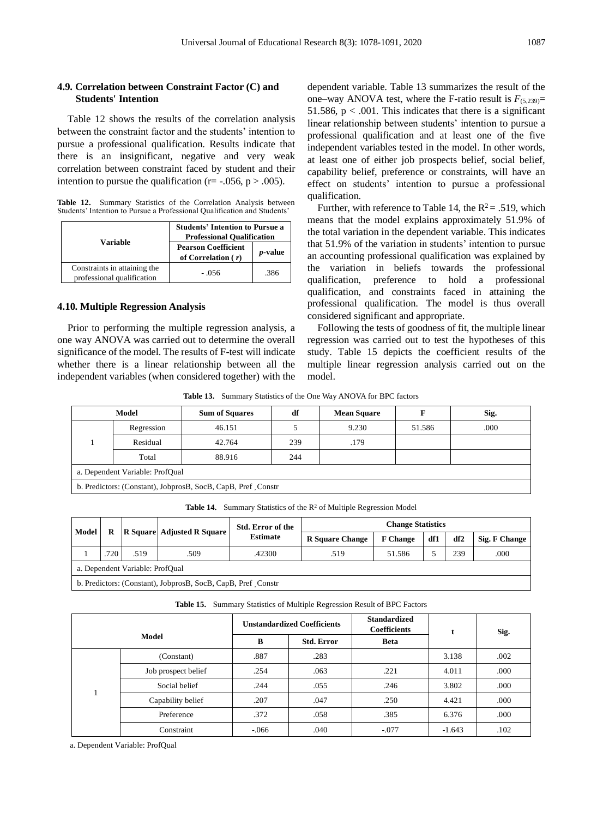## **4.9. Correlation between Constraint Factor (C) and Students' Intention**

Table 12 shows the results of the correlation analysis between the constraint factor and the students' intention to pursue a professional qualification. Results indicate that there is an insignificant, negative and very weak correlation between constraint faced by student and their intention to pursue the qualification ( $r = -0.056$ ,  $p > 0.005$ ).

**Table 12.** Summary Statistics of the Correlation Analysis between Students' Intention to Pursue a Professional Qualification and Students'

| Variable                                                   | <b>Students' Intention to Pursue a</b><br><b>Professional Qualification</b> |                 |  |  |
|------------------------------------------------------------|-----------------------------------------------------------------------------|-----------------|--|--|
|                                                            | <b>Pearson Coefficient</b><br>of Correlation $(r)$                          | <i>p</i> -value |  |  |
| Constraints in attaining the<br>professional qualification | $-.056$                                                                     | .386            |  |  |

## **4.10. Multiple Regression Analysis**

Prior to performing the multiple regression analysis, a one way ANOVA was carried out to determine the overall significance of the model. The results of F-test will indicate whether there is a linear relationship between all the independent variables (when considered together) with the dependent variable. Table 13 summarizes the result of the one–way ANOVA test, where the F-ratio result is  $F_{(5,239)}$ = 51.586,  $p < .001$ . This indicates that there is a significant linear relationship between students' intention to pursue a professional qualification and at least one of the five independent variables tested in the model. In other words, at least one of either job prospects belief, social belief, capability belief, preference or constraints, will have an effect on students' intention to pursue a professional qualification.

Further, with reference to Table 14, the  $R^2 = .519$ , which means that the model explains approximately 51.9% of the total variation in the dependent variable. This indicates that 51.9% of the variation in students' intention to pursue an accounting professional qualification was explained by the variation in beliefs towards the professional qualification, preference to hold a professional qualification, and constraints faced in attaining the professional qualification. The model is thus overall considered significant and appropriate.

Following the tests of goodness of fit, the multiple linear regression was carried out to test the hypotheses of this study. Table 15 depicts the coefficient results of the multiple linear regression analysis carried out on the model.

**Table 13.** Summary Statistics of the One Way ANOVA for BPC factors

| Model                                                          |            | <b>Sum of Squares</b> | df  | <b>Mean Square</b> |        | Sig. |  |
|----------------------------------------------------------------|------------|-----------------------|-----|--------------------|--------|------|--|
|                                                                | Regression | 46.151                |     | 9.230              | 51.586 | .000 |  |
|                                                                | Residual   | 42.764                | 239 | .179               |        |      |  |
|                                                                | Total      | 88.916                | 244 |                    |        |      |  |
| a. Dependent Variable: ProfOual                                |            |                       |     |                    |        |      |  |
| b. Predictors: (Constant), JobprosB, SocB, CapB, Pref. Constr. |            |                       |     |                    |        |      |  |
|                                                                |            |                       |     |                    |        |      |  |

Table 14. Summary Statistics of the R<sup>2</sup> of Multiple Regression Model

| Model                                                          |     | R    | <b>R</b> Square Adjusted R Square | Std. Error of the<br><b>Estimate</b> | <b>Change Statistics</b> |                 |     |     |               |
|----------------------------------------------------------------|-----|------|-----------------------------------|--------------------------------------|--------------------------|-----------------|-----|-----|---------------|
|                                                                |     |      |                                   |                                      | <b>R</b> Square Change   | <b>F</b> Change | df1 | df2 | Sig. F Change |
|                                                                | 720 | .519 | .509                              | .42300                               | .519                     | 51.586          |     | 239 | .000          |
| a. Dependent Variable: ProfOual                                |     |      |                                   |                                      |                          |                 |     |     |               |
| b. Predictors: (Constant), JobprosB, SocB, CapB, Pref. Constr. |     |      |                                   |                                      |                          |                 |     |     |               |

**Table 15.** Summary Statistics of Multiple Regression Result of BPC Factors

| Model |                     |          | <b>Unstandardized Coefficients</b> | <b>Standardized</b><br><b>Coefficients</b> |          | Sig. |
|-------|---------------------|----------|------------------------------------|--------------------------------------------|----------|------|
|       |                     | B        | <b>Std. Error</b>                  | <b>Beta</b>                                |          |      |
|       | (Constant)          | .887     | .283                               |                                            | 3.138    | .002 |
|       | Job prospect belief | .254     | .063                               | .221                                       | 4.011    | .000 |
|       | Social belief       | .244     | .055                               | .246                                       | 3.802    | .000 |
|       | Capability belief   | .207     | .047                               | .250                                       | 4.421    | .000 |
|       | Preference          | .372     | .058                               | .385                                       | 6.376    | .000 |
|       | Constraint          | $-0.066$ | .040                               | $-.077$                                    | $-1.643$ | .102 |

a. Dependent Variable: ProfQual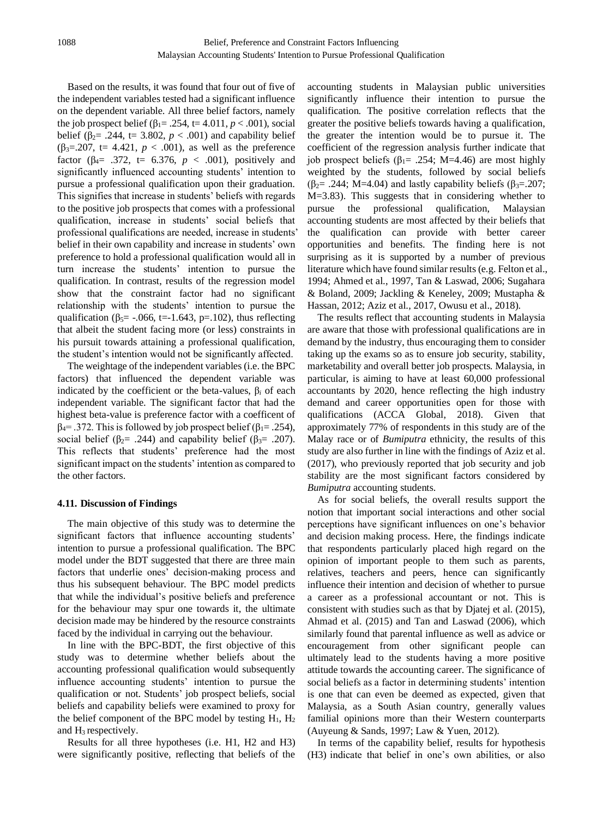Based on the results, it was found that four out of five of the independent variables tested had a significant influence on the dependent variable. All three belief factors, namely the job prospect belief ( $\beta_1$ = .254, t= 4.011, *p* < .001), social belief ( $\beta_2$ = .244, t= 3.802,  $p < .001$ ) and capability belief (β<sub>3</sub>=.207, t= 4.421, *p* < .001), as well as the preference factor (β4= .372, t= 6.376, *p* < .001), positively and significantly influenced accounting students' intention to pursue a professional qualification upon their graduation. This signifies that increase in students' beliefs with regards to the positive job prospects that comes with a professional qualification, increase in students' social beliefs that professional qualifications are needed, increase in students' belief in their own capability and increase in students' own preference to hold a professional qualification would all in turn increase the students' intention to pursue the qualification. In contrast, results of the regression model show that the constraint factor had no significant relationship with the students' intention to pursue the qualification ( $\beta$ <sub>5</sub>= -.066, t=-1.643, p=.102), thus reflecting that albeit the student facing more (or less) constraints in his pursuit towards attaining a professional qualification, the student's intention would not be significantly affected.

The weightage of the independent variables (i.e. the BPC factors) that influenced the dependent variable was indicated by the coefficient or the beta-values, β*<sup>i</sup>* of each independent variable. The significant factor that had the highest beta-value is preference factor with a coefficent of  $β<sub>4</sub> = .372$ . This is followed by job prospect belief (β<sub>1</sub>= .254), social belief ( $\beta$ <sub>2</sub>= .244) and capability belief ( $\beta$ <sub>3</sub>= .207). This reflects that students' preference had the most significant impact on the students' intention as compared to the other factors.

#### **4.11. Discussion of Findings**

The main objective of this study was to determine the significant factors that influence accounting students' intention to pursue a professional qualification. The BPC model under the BDT suggested that there are three main factors that underlie ones' decision-making process and thus his subsequent behaviour. The BPC model predicts that while the individual's positive beliefs and preference for the behaviour may spur one towards it, the ultimate decision made may be hindered by the resource constraints faced by the individual in carrying out the behaviour.

In line with the BPC-BDT, the first objective of this study was to determine whether beliefs about the accounting professional qualification would subsequently influence accounting students' intention to pursue the qualification or not. Students' job prospect beliefs, social beliefs and capability beliefs were examined to proxy for the belief component of the BPC model by testing  $H_1$ ,  $H_2$ and H3 respectively.

Results for all three hypotheses (i.e. H1, H2 and H3) were significantly positive, reflecting that beliefs of the

accounting students in Malaysian public universities significantly influence their intention to pursue the qualification. The positive correlation reflects that the greater the positive beliefs towards having a qualification, the greater the intention would be to pursue it. The coefficient of the regression analysis further indicate that job prospect beliefs ( $β$ <sub>1</sub>= .254; M=4.46) are most highly weighted by the students, followed by social beliefs ( $\beta$ <sub>2</sub>= .244; M=4.04) and lastly capability beliefs ( $\beta$ <sub>3</sub>=.207; M=3.83). This suggests that in considering whether to pursue the professional qualification, Malaysian accounting students are most affected by their beliefs that the qualification can provide with better career opportunities and benefits. The finding here is not surprising as it is supported by a number of previous literature which have found similar results (e.g. Felton et al., 1994; Ahmed et al., 1997, Tan & Laswad, 2006; Sugahara & Boland, 2009; Jackling & Keneley, 2009; Mustapha & Hassan, 2012; Aziz et al., 2017, Owusu et al., 2018).

The results reflect that accounting students in Malaysia are aware that those with professional qualifications are in demand by the industry, thus encouraging them to consider taking up the exams so as to ensure job security, stability, marketability and overall better job prospects. Malaysia, in particular, is aiming to have at least 60,000 professional accountants by 2020, hence reflecting the high industry demand and career opportunities open for those with qualifications (ACCA Global, 2018). Given that approximately 77% of respondents in this study are of the Malay race or of *Bumiputra* ethnicity, the results of this study are also further in line with the findings of Aziz et al. (2017), who previously reported that job security and job stability are the most significant factors considered by *Bumiputra* accounting students.

As for social beliefs, the overall results support the notion that important social interactions and other social perceptions have significant influences on one's behavior and decision making process. Here, the findings indicate that respondents particularly placed high regard on the opinion of important people to them such as parents, relatives, teachers and peers, hence can significantly influence their intention and decision of whether to pursue a career as a professional accountant or not. This is consistent with studies such as that by Djatej et al. (2015), Ahmad et al. (2015) and Tan and Laswad (2006), which similarly found that parental influence as well as advice or encouragement from other significant people can ultimately lead to the students having a more positive attitude towards the accounting career. The significance of social beliefs as a factor in determining students' intention is one that can even be deemed as expected, given that Malaysia, as a South Asian country, generally values familial opinions more than their Western counterparts (Auyeung & Sands, 1997; Law & Yuen, 2012).

In terms of the capability belief, results for hypothesis (H3) indicate that belief in one's own abilities, or also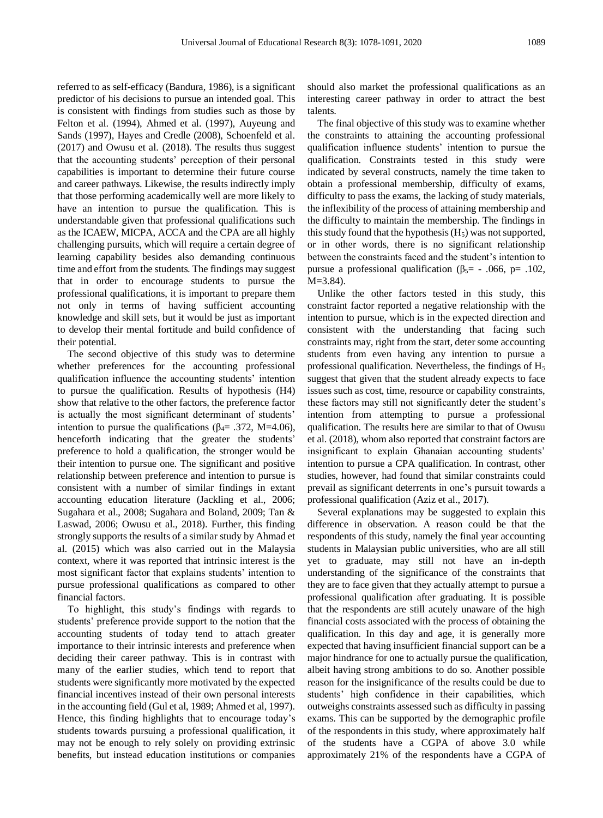referred to as self-efficacy (Bandura, 1986), is a significant predictor of his decisions to pursue an intended goal. This is consistent with findings from studies such as those by Felton et al. (1994), Ahmed et al. (1997), Auyeung and Sands (1997), Hayes and Credle (2008), Schoenfeld et al. (2017) and Owusu et al. (2018). The results thus suggest that the accounting students' perception of their personal capabilities is important to determine their future course and career pathways. Likewise, the results indirectly imply that those performing academically well are more likely to have an intention to pursue the qualification. This is understandable given that professional qualifications such as the ICAEW, MICPA, ACCA and the CPA are all highly challenging pursuits, which will require a certain degree of learning capability besides also demanding continuous time and effort from the students. The findings may suggest that in order to encourage students to pursue the professional qualifications, it is important to prepare them not only in terms of having sufficient accounting knowledge and skill sets, but it would be just as important to develop their mental fortitude and build confidence of their potential.

The second objective of this study was to determine whether preferences for the accounting professional qualification influence the accounting students' intention to pursue the qualification. Results of hypothesis (H4) show that relative to the other factors, the preference factor is actually the most significant determinant of students' intention to pursue the qualifications ( $\beta$ <sub>4</sub>= .372, M=4.06), henceforth indicating that the greater the students' preference to hold a qualification, the stronger would be their intention to pursue one. The significant and positive relationship between preference and intention to pursue is consistent with a number of similar findings in extant accounting education literature (Jackling et al., 2006; Sugahara et al., 2008; Sugahara and Boland, 2009; Tan & Laswad, 2006; Owusu et al., 2018). Further, this finding strongly supports the results of a similar study by Ahmad et al. (2015) which was also carried out in the Malaysia context, where it was reported that intrinsic interest is the most significant factor that explains students' intention to pursue professional qualifications as compared to other financial factors.

To highlight, this study's findings with regards to students' preference provide support to the notion that the accounting students of today tend to attach greater importance to their intrinsic interests and preference when deciding their career pathway. This is in contrast with many of the earlier studies, which tend to report that students were significantly more motivated by the expected financial incentives instead of their own personal interests in the accounting field (Gul et al, 1989; Ahmed et al, 1997). Hence, this finding highlights that to encourage today's students towards pursuing a professional qualification, it may not be enough to rely solely on providing extrinsic benefits, but instead education institutions or companies

should also market the professional qualifications as an interesting career pathway in order to attract the best talents.

The final objective of this study was to examine whether the constraints to attaining the accounting professional qualification influence students' intention to pursue the qualification. Constraints tested in this study were indicated by several constructs, namely the time taken to obtain a professional membership, difficulty of exams, difficulty to pass the exams, the lacking of study materials, the inflexibility of the process of attaining membership and the difficulty to maintain the membership. The findings in this study found that the hypothesis  $(H<sub>5</sub>)$  was not supported, or in other words, there is no significant relationship between the constraints faced and the student's intention to pursue a professional qualification (β<sub>5</sub>= - .066, p= .102, M=3.84).

Unlike the other factors tested in this study, this constraint factor reported a negative relationship with the intention to pursue, which is in the expected direction and consistent with the understanding that facing such constraints may, right from the start, deter some accounting students from even having any intention to pursue a professional qualification. Nevertheless, the findings of H<sub>5</sub> suggest that given that the student already expects to face issues such as cost, time, resource or capability constraints, these factors may still not significantly deter the student's intention from attempting to pursue a professional qualification. The results here are similar to that of Owusu et al. (2018), whom also reported that constraint factors are insignificant to explain Ghanaian accounting students' intention to pursue a CPA qualification. In contrast, other studies, however, had found that similar constraints could prevail as significant deterrents in one's pursuit towards a professional qualification (Aziz et al., 2017).

Several explanations may be suggested to explain this difference in observation. A reason could be that the respondents of this study, namely the final year accounting students in Malaysian public universities, who are all still yet to graduate, may still not have an in-depth understanding of the significance of the constraints that they are to face given that they actually attempt to pursue a professional qualification after graduating. It is possible that the respondents are still acutely unaware of the high financial costs associated with the process of obtaining the qualification. In this day and age, it is generally more expected that having insufficient financial support can be a major hindrance for one to actually pursue the qualification, albeit having strong ambitions to do so. Another possible reason for the insignificance of the results could be due to students' high confidence in their capabilities, which outweighs constraints assessed such as difficulty in passing exams. This can be supported by the demographic profile of the respondents in this study, where approximately half of the students have a CGPA of above 3.0 while approximately 21% of the respondents have a CGPA of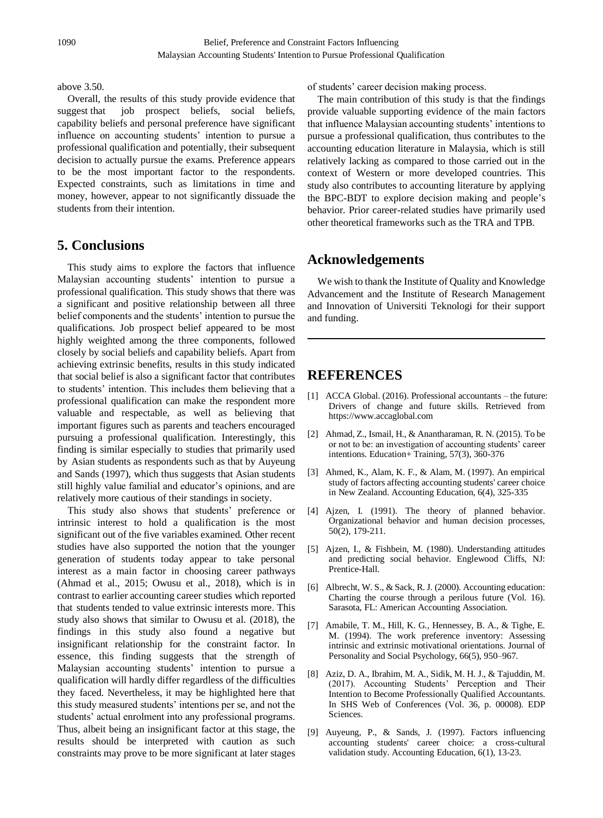## above 3.50.

Overall, the results of this study provide evidence that suggest that job prospect beliefs, social beliefs, capability beliefs and personal preference have significant influence on accounting students' intention to pursue a professional qualification and potentially, their subsequent decision to actually pursue the exams. Preference appears to be the most important factor to the respondents. Expected constraints, such as limitations in time and money, however, appear to not significantly dissuade the students from their intention.

# **5. Conclusions**

This study aims to explore the factors that influence Malaysian accounting students' intention to pursue a professional qualification. This study shows that there was a significant and positive relationship between all three belief components and the students' intention to pursue the qualifications. Job prospect belief appeared to be most highly weighted among the three components, followed closely by social beliefs and capability beliefs. Apart from achieving extrinsic benefits, results in this study indicated that social belief is also a significant factor that contributes to students' intention. This includes them believing that a professional qualification can make the respondent more valuable and respectable, as well as believing that important figures such as parents and teachers encouraged pursuing a professional qualification. Interestingly, this finding is similar especially to studies that primarily used by Asian students as respondents such as that by Auyeung and Sands (1997), which thus suggests that Asian students still highly value familial and educator's opinions, and are relatively more cautious of their standings in society.

This study also shows that students' preference or intrinsic interest to hold a qualification is the most significant out of the five variables examined. Other recent studies have also supported the notion that the younger generation of students today appear to take personal interest as a main factor in choosing career pathways (Ahmad et al., 2015; Owusu et al., 2018), which is in contrast to earlier accounting career studies which reported that students tended to value extrinsic interests more. This study also shows that similar to Owusu et al. (2018), the findings in this study also found a negative but insignificant relationship for the constraint factor. In essence, this finding suggests that the strength of Malaysian accounting students' intention to pursue a qualification will hardly differ regardless of the difficulties they faced. Nevertheless, it may be highlighted here that this study measured students' intentions per se, and not the students' actual enrolment into any professional programs. Thus, albeit being an insignificant factor at this stage, the results should be interpreted with caution as such constraints may prove to be more significant at later stages

of students' career decision making process.

The main contribution of this study is that the findings provide valuable supporting evidence of the main factors that influence Malaysian accounting students' intentions to pursue a professional qualification, thus contributes to the accounting education literature in Malaysia, which is still relatively lacking as compared to those carried out in the context of Western or more developed countries. This study also contributes to accounting literature by applying the BPC-BDT to explore decision making and people's behavior. Prior career-related studies have primarily used other theoretical frameworks such as the TRA and TPB.

# **Acknowledgements**

We wish to thank the Institute of Quality and Knowledge Advancement and the Institute of Research Management and Innovation of Universiti Teknologi for their support and funding.

# **REFERENCES**

- [1] ACCA Global. (2016). Professional accountants the future: Drivers of change and future skills. Retrieved from https://www.accaglobal.com
- [2] Ahmad, Z., Ismail, H., & Anantharaman, R. N. (2015). To be or not to be: an investigation of accounting students' career intentions. Education+ Training, 57(3), 360-376
- [3] Ahmed, K., Alam, K. F., & Alam, M. (1997). An empirical study of factors affecting accounting students' career choice in New Zealand. Accounting Education, 6(4), 325-335
- [4] Ajzen, I. (1991). The theory of planned behavior. Organizational behavior and human decision processes, 50(2), 179-211.
- [5] Ajzen, I., & Fishbein, M. (1980). Understanding attitudes and predicting social behavior. Englewood Cliffs, NJ: Prentice-Hall.
- [6] Albrecht, W. S., & Sack, R. J. (2000). Accounting education: Charting the course through a perilous future (Vol. 16). Sarasota, FL: American Accounting Association.
- [7] Amabile, T. M., Hill, K. G., Hennessey, B. A., & Tighe, E. M. (1994). The work preference inventory: Assessing intrinsic and extrinsic motivational orientations. Journal of Personality and Social Psychology, 66(5), 950–967.
- [8] Aziz, D. A., Ibrahim, M. A., Sidik, M. H. J., & Tajuddin, M. (2017). Accounting Students' Perception and Their Intention to Become Professionally Qualified Accountants. In SHS Web of Conferences (Vol. 36, p. 00008). EDP Sciences.
- [9] Auyeung, P., & Sands, J. (1997). Factors influencing accounting students' career choice: a cross-cultural validation study. Accounting Education, 6(1), 13-23.